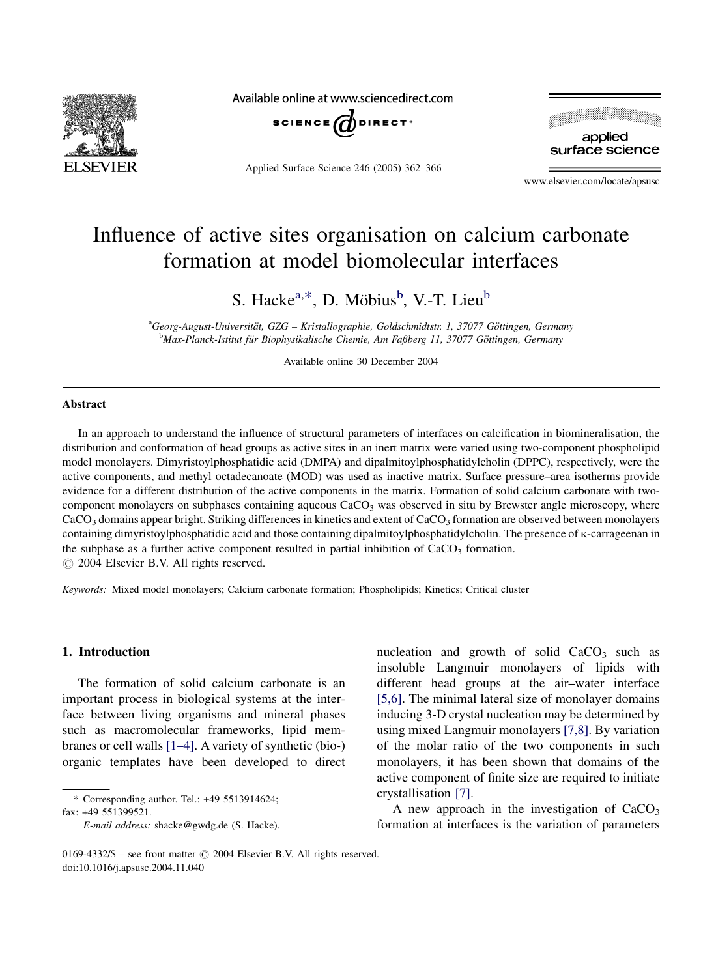

Available online at www.sciencedirect.com



Applied Surface Science 246 (2005) 362–366



www.elsevier.com/locate/apsusc

# Influence of active sites organisation on calcium carbonate formation at model biomolecular interfaces

S. Hacke<sup>a,\*</sup>, D. Möbius<sup>b</sup>, V.-T. Lieu<sup>b</sup>

a<br>Georg-August-Universität, GZG – Kristallographie, Goldschmidtstr. 1, 37077 Göttingen, Germany <sup>b</sup>Max-Planck-Istitut für Biophysikalische Chemie, Am Faßberg 11, 37077 Göttingen, Germany

Available online 30 December 2004

## Abstract

In an approach to understand the influence of structural parameters of interfaces on calcification in biomineralisation, the distribution and conformation of head groups as active sites in an inert matrix were varied using two-component phospholipid model monolayers. Dimyristoylphosphatidic acid (DMPA) and dipalmitoylphosphatidylcholin (DPPC), respectively, were the active components, and methyl octadecanoate (MOD) was used as inactive matrix. Surface pressure–area isotherms provide evidence for a different distribution of the active components in the matrix. Formation of solid calcium carbonate with twocomponent monolayers on subphases containing aqueous CaCO<sub>3</sub> was observed in situ by Brewster angle microscopy, where  $CaCO<sub>3</sub>$  domains appear bright. Striking differences in kinetics and extent of  $CaCO<sub>3</sub>$  formation are observed between monolayers containing dimyristoylphosphatidic acid and those containing dipalmitoylphosphatidylcholin. The presence of  $\kappa$ -carrageenan in the subphase as a further active component resulted in partial inhibition of  $CaCO<sub>3</sub>$  formation.  $\odot$  2004 Elsevier B.V. All rights reserved.

Keywords: Mixed model monolayers; Calcium carbonate formation; Phospholipids; Kinetics; Critical cluster

### 1. Introduction

The formation of solid calcium carbonate is an important process in biological systems at the interface between living organisms and mineral phases such as macromolecular frameworks, lipid membranes or cell walls [\[1–4\].](#page-4-0) A variety of synthetic (bio-) organic templates have been developed to direct

fax: +49 551399521.

nucleation and growth of solid  $CaCO<sub>3</sub>$  such as insoluble Langmuir monolayers of lipids with different head groups at the air–water interface [\[5,6\].](#page-4-0) The minimal lateral size of monolayer domains inducing 3-D crystal nucleation may be determined by using mixed Langmuir monolayers [\[7,8\].](#page-4-0) By variation of the molar ratio of the two components in such monolayers, it has been shown that domains of the active component of finite size are required to initiate crystallisation [\[7\].](#page-4-0)

A new approach in the investigation of  $CaCO<sub>3</sub>$ formation at interfaces is the variation of parameters

<sup>\*</sup> Corresponding author. Tel.: +49 5513914624;

E-mail address: shacke@gwdg.de (S. Hacke).

<sup>0169-4332/\$ –</sup> see front matter  $\odot$  2004 Elsevier B.V. All rights reserved. doi:10.1016/j.apsusc.2004.11.040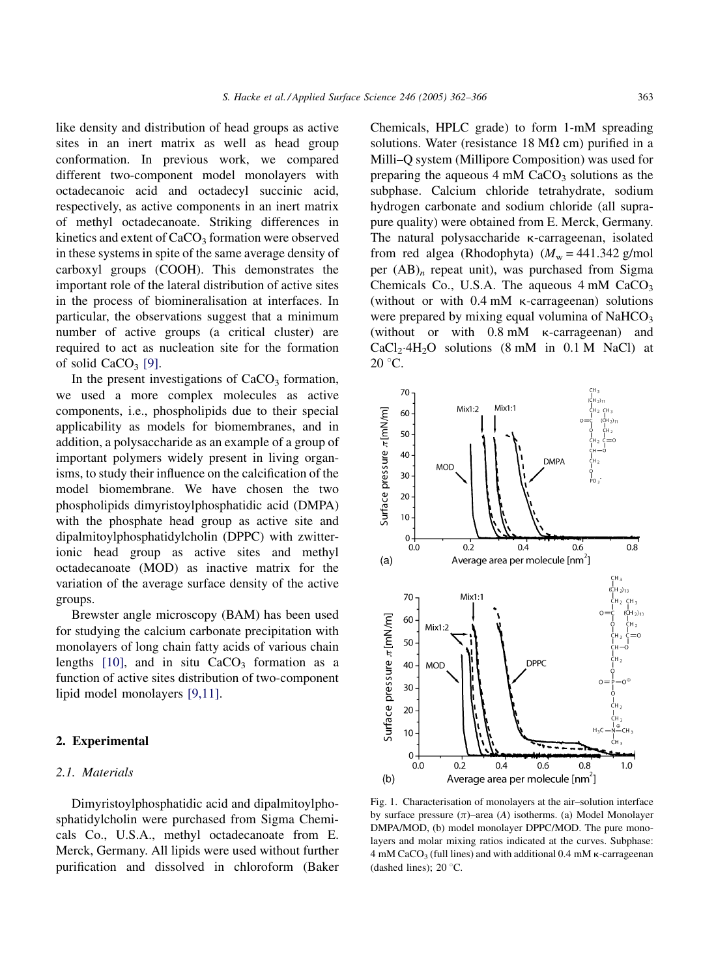<span id="page-1-0"></span>like density and distribution of head groups as active sites in an inert matrix as well as head group conformation. In previous work, we compared different two-component model monolayers with octadecanoic acid and octadecyl succinic acid, respectively, as active components in an inert matrix of methyl octadecanoate. Striking differences in kinetics and extent of  $CaCO<sub>3</sub>$  formation were observed in these systems in spite of the same average density of carboxyl groups (COOH). This demonstrates the important role of the lateral distribution of active sites in the process of biomineralisation at interfaces. In particular, the observations suggest that a minimum number of active groups (a critical cluster) are required to act as nucleation site for the formation of solid  $CaCO<sub>3</sub>$  [\[9\].](#page-4-0)

In the present investigations of  $CaCO<sub>3</sub>$  formation, we used a more complex molecules as active components, i.e., phospholipids due to their special applicability as models for biomembranes, and in addition, a polysaccharide as an example of a group of important polymers widely present in living organisms, to study their influence on the calcification of the model biomembrane. We have chosen the two phospholipids dimyristoylphosphatidic acid (DMPA) with the phosphate head group as active site and dipalmitoylphosphatidylcholin (DPPC) with zwitterionic head group as active sites and methyl octadecanoate (MOD) as inactive matrix for the variation of the average surface density of the active groups.

Brewster angle microscopy (BAM) has been used for studying the calcium carbonate precipitation with monolayers of long chain fatty acids of various chain lengths  $[10]$ , and in situ CaCO<sub>3</sub> formation as a function of active sites distribution of two-component lipid model monolayers [\[9,11\].](#page-4-0)

#### 2. Experimental

#### 2.1. Materials

Dimyristoylphosphatidic acid and dipalmitoylphosphatidylcholin were purchased from Sigma Chemicals Co., U.S.A., methyl octadecanoate from E. Merck, Germany. All lipids were used without further purification and dissolved in chloroform (Baker Chemicals, HPLC grade) to form 1-mM spreading solutions. Water (resistance 18 M $\Omega$  cm) purified in a Milli–Q system (Millipore Composition) was used for preparing the aqueous  $4 \text{ mM } CaCO<sub>3</sub>$  solutions as the subphase. Calcium chloride tetrahydrate, sodium hydrogen carbonate and sodium chloride (all suprapure quality) were obtained from E. Merck, Germany. The natural polysaccharide  $\kappa$ -carrageenan, isolated from red algea (Rhodophyta)  $(M_w = 441.342 \text{ g/mol})$ per  $(AB)_n$  repeat unit), was purchased from Sigma Chemicals Co., U.S.A. The aqueous  $4 \text{ mM } CaCO<sub>3</sub>$ (without or with 0.4 mM k-carrageenan) solutions were prepared by mixing equal volumina of  $NAHCO<sub>3</sub>$ (without or with 0.8 mM k-carrageenan) and  $CaCl<sub>2</sub>·4H<sub>2</sub>O$  solutions (8 mM in 0.1 M NaCl) at  $20^{\circ}$ C.



Fig. 1. Characterisation of monolayers at the air–solution interface by surface pressure  $(\pi)$ –area  $(A)$  isotherms. (a) Model Monolayer DMPA/MOD, (b) model monolayer DPPC/MOD. The pure monolayers and molar mixing ratios indicated at the curves. Subphase:  $4 \text{ mM CaCO}_3$  (full lines) and with additional 0.4 mM  $\kappa$ -carrageenan (dashed lines);  $20^{\circ}$ C.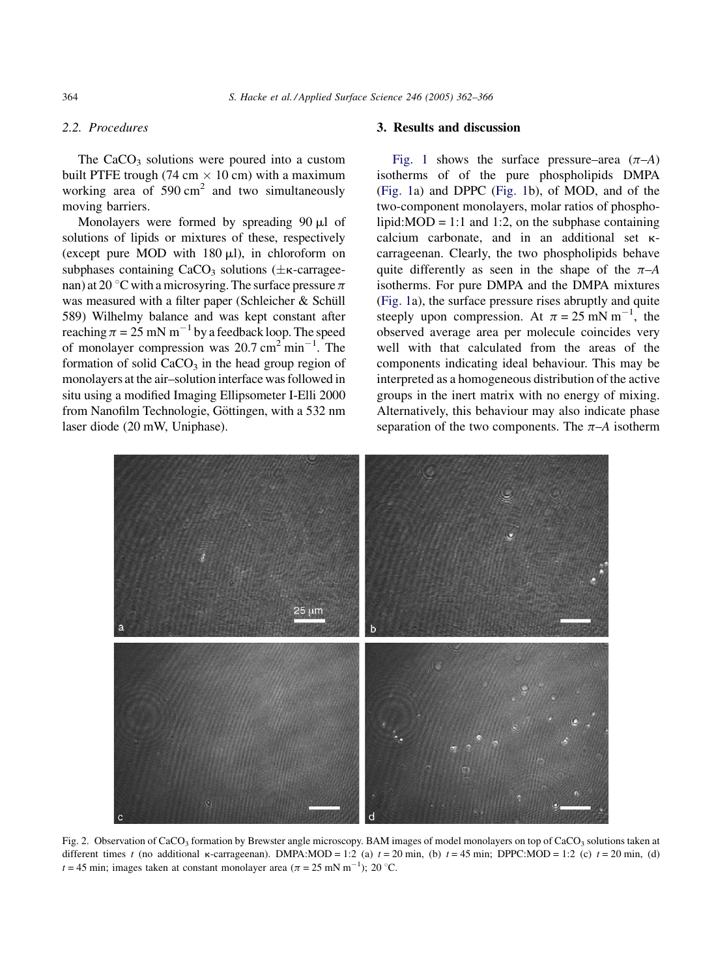# <span id="page-2-0"></span>2.2. Procedures

The  $CaCO<sub>3</sub>$  solutions were poured into a custom built PTFE trough (74 cm  $\times$  10 cm) with a maximum working area of  $590 \text{ cm}^2$  and two simultaneously moving barriers.

Monolayers were formed by spreading  $90 \mu l$  of solutions of lipids or mixtures of these, respectively (except pure MOD with  $180 \mu l$ ), in chloroform on subphases containing  $CaCO<sub>3</sub>$  solutions ( $\pm \kappa$ -carrageenan) at 20 °C with a microsyring. The surface pressure  $\pi$ was measured with a filter paper (Schleicher & Schüll 589) Wilhelmy balance and was kept constant after reaching  $\pi = 25$  mN m<sup>-1</sup> by a feedback loop. The speed of monolayer compression was  $20.7 \text{ cm}^2 \text{ min}^{-1}$ . The formation of solid  $CaCO<sub>3</sub>$  in the head group region of monolayers at the air–solution interface was followed in situ using a modified Imaging Ellipsometer I-Elli 2000 from Nanofilm Technologie, Göttingen, with a 532 nm laser diode (20 mW, Uniphase).

# 3. Results and discussion

[Fig. 1](#page-1-0) shows the surface pressure–area  $(\pi - A)$ isotherms of of the pure phospholipids DMPA ([Fig. 1a](#page-1-0)) and DPPC [\(Fig. 1b](#page-1-0)), of MOD, and of the two-component monolayers, molar ratios of phospholipid: $MOD = 1:1$  and 1:2, on the subphase containing calcium carbonate, and in an additional set kcarrageenan. Clearly, the two phospholipids behave quite differently as seen in the shape of the  $\pi$ –A isotherms. For pure DMPA and the DMPA mixtures ([Fig. 1](#page-1-0)a), the surface pressure rises abruptly and quite steeply upon compression. At  $\pi = 25$  mN m<sup>-1</sup>, the observed average area per molecule coincides very well with that calculated from the areas of the components indicating ideal behaviour. This may be interpreted as a homogeneous distribution of the active groups in the inert matrix with no energy of mixing. Alternatively, this behaviour may also indicate phase separation of the two components. The  $\pi$ –A isotherm



Fig. 2. Observation of CaCO<sub>3</sub> formation by Brewster angle microscopy. BAM images of model monolayers on top of CaCO<sub>3</sub> solutions taken at different times t (no additional  $\kappa$ -carrageenan). DMPA:MOD = 1:2 (a)  $t = 20$  min, (b)  $t = 45$  min; DPPC:MOD = 1:2 (c)  $t = 20$  min, (d)  $t = 45$  min; images taken at constant monolayer area  $(\pi = 25 \text{ mN m}^{-1})$ ; 20 °C.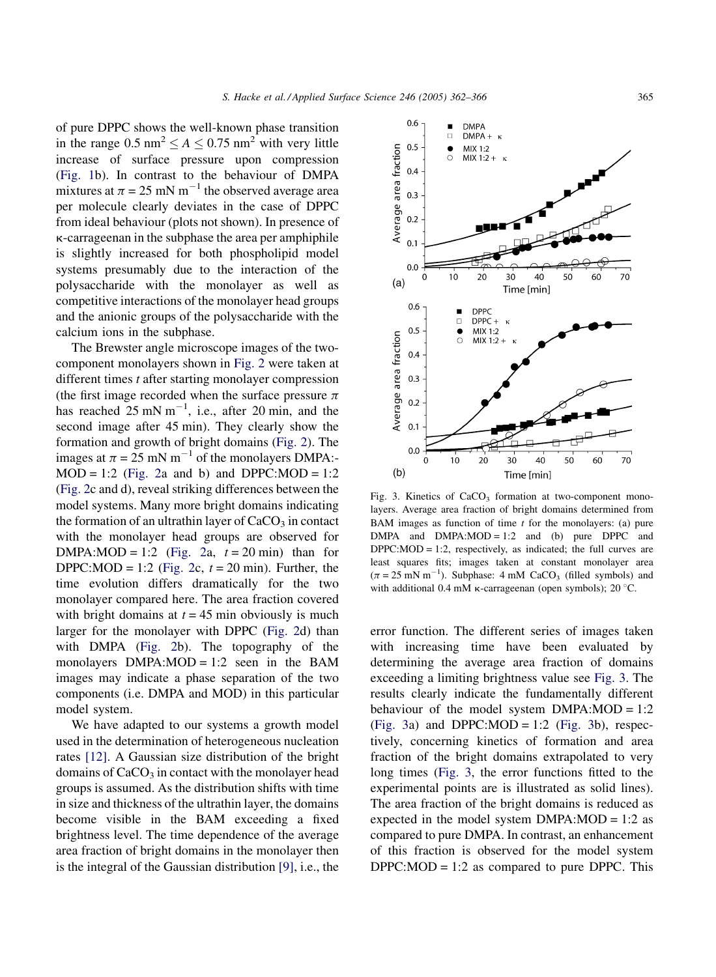of pure DPPC shows the well-known phase transition in the range  $0.5 \text{ nm}^2 \le A \le 0.75 \text{ nm}^2$  with very little increase of surface pressure upon compression ([Fig. 1](#page-1-0)b). In contrast to the behaviour of DMPA mixtures at  $\pi = 25$  mN m<sup>-1</sup> the observed average area per molecule clearly deviates in the case of DPPC from ideal behaviour (plots not shown). In presence of k-carrageenan in the subphase the area per amphiphile is slightly increased for both phospholipid model systems presumably due to the interaction of the polysaccharide with the monolayer as well as competitive interactions of the monolayer head groups and the anionic groups of the polysaccharide with the calcium ions in the subphase.

The Brewster angle microscope images of the twocomponent monolayers shown in [Fig. 2](#page-2-0) were taken at different times t after starting monolayer compression (the first image recorded when the surface pressure  $\pi$ has reached  $25 \text{ mN m}^{-1}$ , i.e., after 20 min, and the second image after 45 min). They clearly show the formation and growth of bright domains [\(Fig. 2\)](#page-2-0). The images at  $\pi = 25$  mN m<sup>-1</sup> of the monolayers DMPA:- $MOD = 1:2$  [\(Fig. 2a](#page-2-0) and b) and DPPC:MOD = 1:2 ([Fig. 2c](#page-2-0) and d), reveal striking differences between the model systems. Many more bright domains indicating the formation of an ultrathin layer of  $CaCO<sub>3</sub>$  in contact with the monolayer head groups are observed for DMPA:MOD = 1:2 ([Fig. 2](#page-2-0)a,  $t = 20$  min) than for DPPC:MOD = 1:2 ([Fig. 2](#page-2-0)c,  $t = 20$  min). Further, the time evolution differs dramatically for the two monolayer compared here. The area fraction covered with bright domains at  $t = 45$  min obviously is much larger for the monolayer with DPPC [\(Fig. 2](#page-2-0)d) than with DMPA ([Fig. 2b](#page-2-0)). The topography of the monolayers  $DMPA:MOD = 1:2$  seen in the BAM images may indicate a phase separation of the two components (i.e. DMPA and MOD) in this particular model system.

We have adapted to our systems a growth model used in the determination of heterogeneous nucleation rates [\[12\].](#page-4-0) A Gaussian size distribution of the bright domains of  $CaCO<sub>3</sub>$  in contact with the monolayer head groups is assumed. As the distribution shifts with time in size and thickness of the ultrathin layer, the domains become visible in the BAM exceeding a fixed brightness level. The time dependence of the average area fraction of bright domains in the monolayer then is the integral of the Gaussian distribution [\[9\]](#page-4-0), i.e., the



Fig. 3. Kinetics of  $CaCO<sub>3</sub>$  formation at two-component monolayers. Average area fraction of bright domains determined from BAM images as function of time  $t$  for the monolayers: (a) pure  $DMPA$  and  $DMPA:MOD = 1:2$  and (b) pure DPPC and  $DPPC:MOD = 1:2$ , respectively, as indicated; the full curves are least squares fits; images taken at constant monolayer area  $(\pi = 25 \text{ mN m}^{-1})$ . Subphase: 4 mM CaCO<sub>3</sub> (filled symbols) and with additional 0.4 mM  $\kappa$ -carrageenan (open symbols); 20 °C.

error function. The different series of images taken with increasing time have been evaluated by determining the average area fraction of domains exceeding a limiting brightness value see Fig. 3. The results clearly indicate the fundamentally different behaviour of the model system  $DMPA:MOD = 1:2$  $(Fig. 3a)$  and DPPC:MOD = 1:2  $(Fig. 3b)$ , respectively, concerning kinetics of formation and area fraction of the bright domains extrapolated to very long times (Fig. 3, the error functions fitted to the experimental points are is illustrated as solid lines). The area fraction of the bright domains is reduced as expected in the model system  $DMPA:MOD = 1:2$  as compared to pure DMPA. In contrast, an enhancement of this fraction is observed for the model system  $DPPC:MOD = 1:2$  as compared to pure DPPC. This